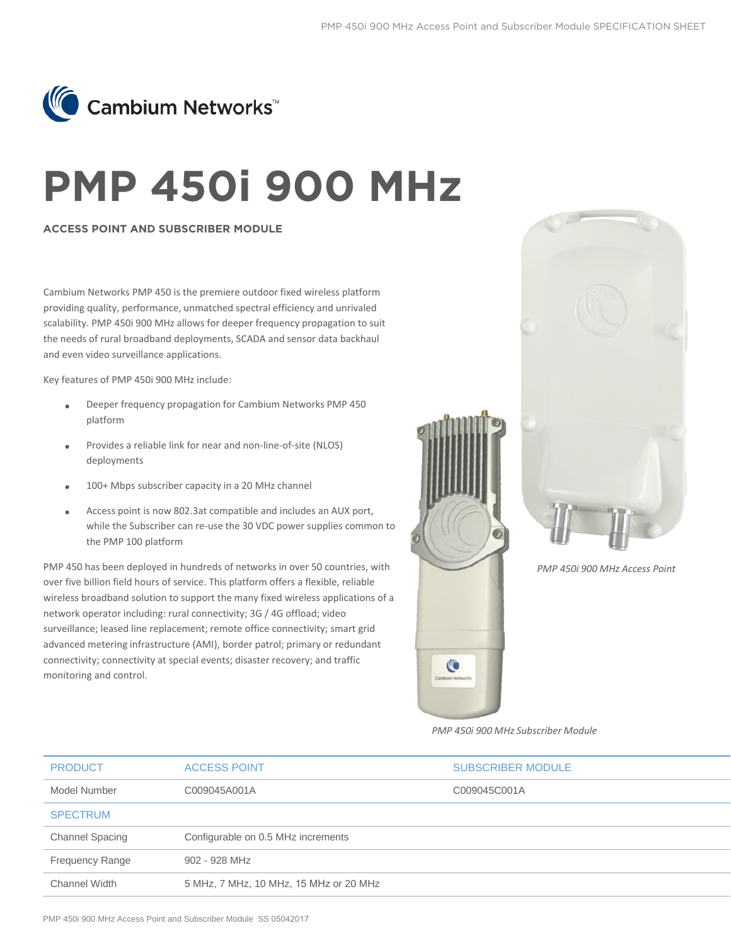

## **PMP 450i 900 MHz**

## **ACCESS POINT AND SUBSCRIBER MODULE**

Cambium Networks PMP 450 is the premiere outdoor fixed wireless platform providing quality, performance, unmatched spectral efficiency and unrivaled scalability. PMP 450i 900 MHz allows for deeper frequency propagation to suit the needs of rural broadband deployments, SCADA and sensor data backhaul and even video surveillance applications.

Key features of PMP 450i 900 MHz include:

- Deeper frequency propagation for Cambium Networks PMP 450 platform
- Provides a reliable link for near and non-line-of-site (NLOS) deployments
- 100+ Mbps subscriber capacity in a 20 MHz channel
- Access point is now 802.3at compatible and includes an AUX port, while the Subscriber can re-use the 30 VDC power supplies common to the PMP 100 platform

PMP 450 has been deployed in hundreds of networks in over 50 countries, with over five billion field hours of service. This platform offers a flexible, reliable wireless broadband solution to support the many fixed wireless applications of a network operator including: rural connectivity; 3G / 4G offload; video surveillance; leased line replacement; remote office connectivity; smart grid advanced metering infrastructure (AMI), border patrol; primary or redundant connectivity; connectivity at special events; disaster recovery; and traffic monitoring and control.





*PMP 450i 900 MHz Access Point* 

*PMP 450i 900 MHz Subscriber Module* 

| <b>PRODUCT</b>         | <b>ACCESS POINT</b>                    | <b>SUBSCRIBER MODULE</b> |
|------------------------|----------------------------------------|--------------------------|
| Model Number           | C009045A001A                           | C009045C001A             |
| <b>SPECTRUM</b>        |                                        |                          |
| <b>Channel Spacing</b> | Configurable on 0.5 MHz increments     |                          |
| <b>Frequency Range</b> | 902 - 928 MHz                          |                          |
| Channel Width          | 5 MHz, 7 MHz, 10 MHz, 15 MHz or 20 MHz |                          |
|                        |                                        |                          |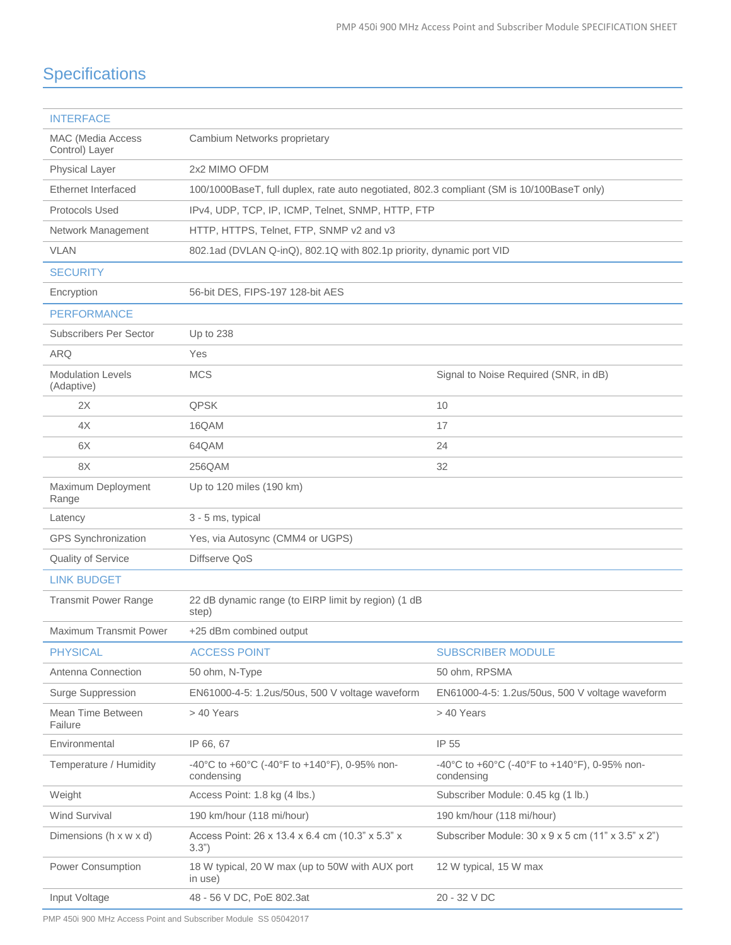## **Specifications**

| <b>INTERFACE</b>                       |                                                                                            |                                                            |
|----------------------------------------|--------------------------------------------------------------------------------------------|------------------------------------------------------------|
| MAC (Media Access<br>Control) Layer    | Cambium Networks proprietary                                                               |                                                            |
| Physical Layer                         | 2x2 MIMO OFDM                                                                              |                                                            |
| Ethernet Interfaced                    | 100/1000BaseT, full duplex, rate auto negotiated, 802.3 compliant (SM is 10/100BaseT only) |                                                            |
| Protocols Used                         | IPv4, UDP, TCP, IP, ICMP, Telnet, SNMP, HTTP, FTP                                          |                                                            |
| Network Management                     | HTTP, HTTPS, Telnet, FTP, SNMP v2 and v3                                                   |                                                            |
| <b>VLAN</b>                            | 802.1ad (DVLAN Q-inQ), 802.1Q with 802.1p priority, dynamic port VID                       |                                                            |
| <b>SECURITY</b>                        |                                                                                            |                                                            |
| Encryption                             | 56-bit DES, FIPS-197 128-bit AES                                                           |                                                            |
| <b>PERFORMANCE</b>                     |                                                                                            |                                                            |
| <b>Subscribers Per Sector</b>          | Up to 238                                                                                  |                                                            |
| <b>ARQ</b>                             | Yes                                                                                        |                                                            |
| <b>Modulation Levels</b><br>(Adaptive) | <b>MCS</b>                                                                                 | Signal to Noise Required (SNR, in dB)                      |
| 2X                                     | <b>QPSK</b>                                                                                | 10                                                         |
| 4X                                     | 16QAM                                                                                      | 17                                                         |
| 6X                                     | 64QAM                                                                                      | 24                                                         |
| 8X                                     | 256QAM                                                                                     | 32                                                         |
| Maximum Deployment<br>Range            | Up to 120 miles (190 km)                                                                   |                                                            |
| Latency                                | 3 - 5 ms, typical                                                                          |                                                            |
|                                        | Yes, via Autosync (CMM4 or UGPS)                                                           |                                                            |
| <b>GPS Synchronization</b>             |                                                                                            |                                                            |
| Quality of Service                     | Diffserve QoS                                                                              |                                                            |
| <b>LINK BUDGET</b>                     |                                                                                            |                                                            |
| <b>Transmit Power Range</b>            | 22 dB dynamic range (to EIRP limit by region) (1 dB<br>step)                               |                                                            |
| <b>Maximum Transmit Power</b>          | +25 dBm combined output                                                                    |                                                            |
| <b>PHYSICAL</b>                        | <b>ACCESS POINT</b>                                                                        | <b>SUBSCRIBER MODULE</b>                                   |
| Antenna Connection                     | 50 ohm, N-Type                                                                             | 50 ohm, RPSMA                                              |
| Surge Suppression                      | EN61000-4-5: 1.2us/50us, 500 V voltage waveform                                            | EN61000-4-5: 1.2us/50us, 500 V voltage waveform            |
| Mean Time Between<br>Failure           | > 40 Years                                                                                 | > 40 Years                                                 |
| Environmental                          | IP 66, 67                                                                                  | IP 55                                                      |
| Temperature / Humidity                 | -40°C to +60°C (-40°F to +140°F), 0-95% non-<br>condensing                                 | -40°C to +60°C (-40°F to +140°F), 0-95% non-<br>condensing |
| Weight                                 | Access Point: 1.8 kg (4 lbs.)                                                              | Subscriber Module: 0.45 kg (1 lb.)                         |
| Wind Survival                          | 190 km/hour (118 mi/hour)                                                                  | 190 km/hour (118 mi/hour)                                  |
| Dimensions (h x w x d)                 | Access Point: 26 x 13.4 x 6.4 cm (10.3" x 5.3" x<br>3.3")                                  | Subscriber Module: 30 x 9 x 5 cm (11" x 3.5" x 2")         |
| Power Consumption                      | 18 W typical, 20 W max (up to 50W with AUX port<br>in use)                                 | 12 W typical, 15 W max                                     |

PMP 450i 900 MHz Access Point and Subscriber Module SS 05042017